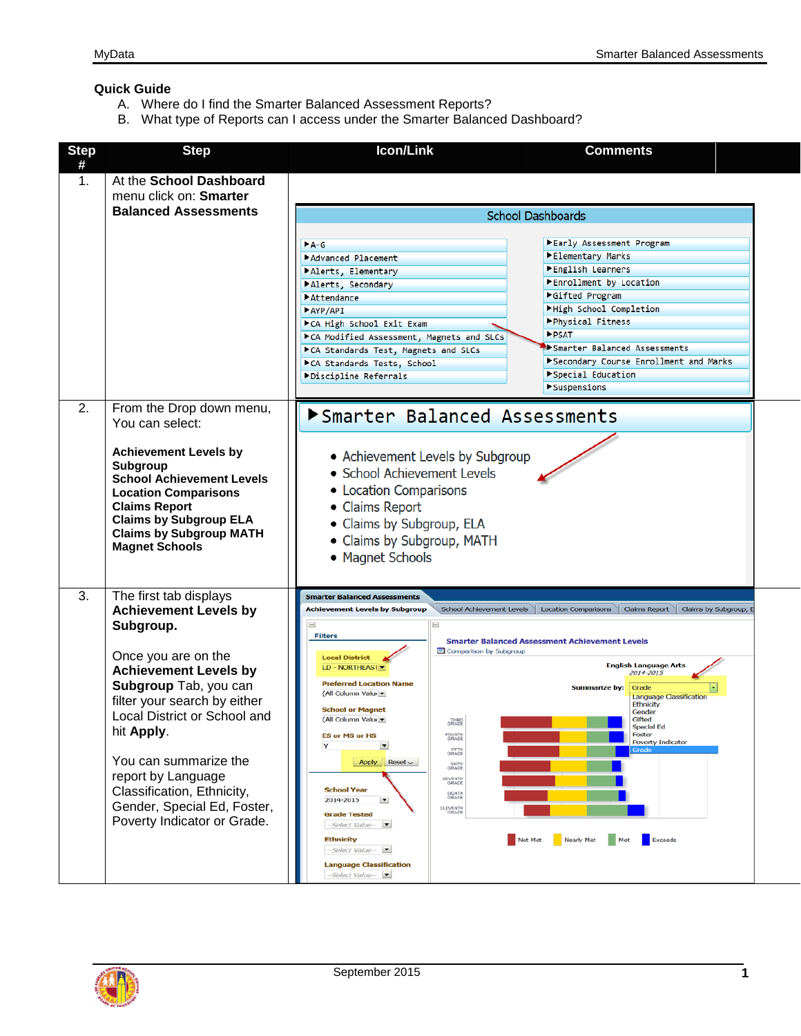## **Quick Guide**

- A. Where do I find the Smarter Balanced Assessment Reports?
- B. What type of Reports can I access under the Smarter Balanced Dashboard?



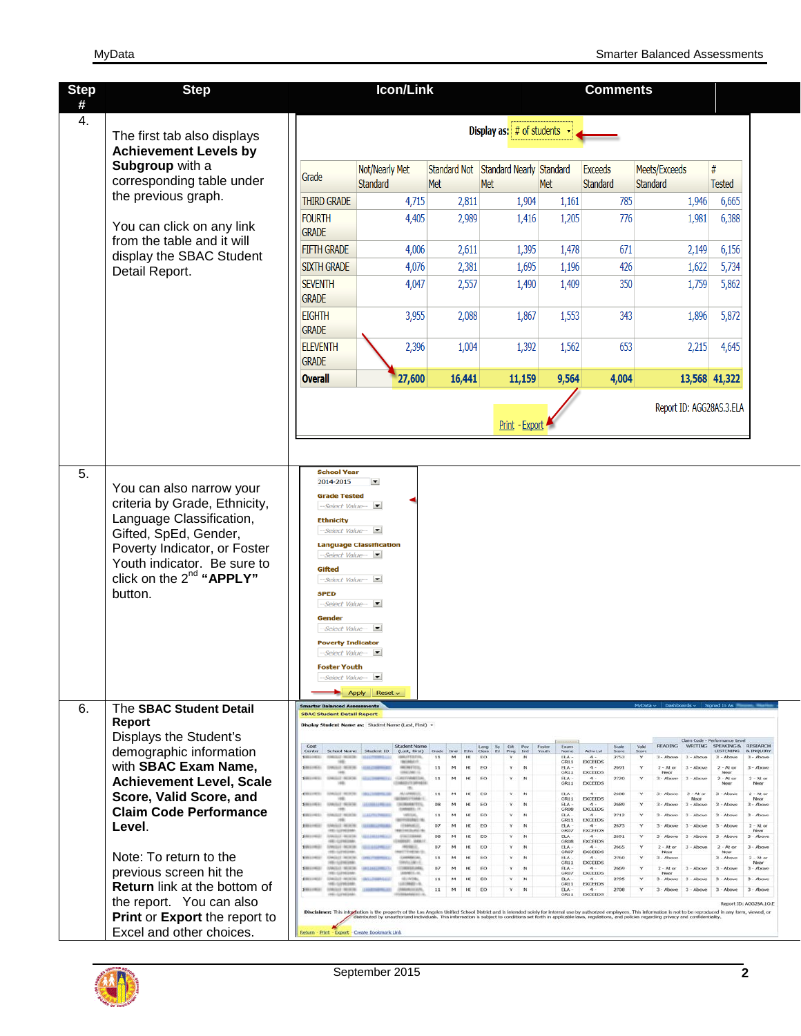| <b>Step</b> | <b>Step</b>                                                                                                                                                                                                                             |                                                                                                                                                                                                                                                                                                                  | <b>Icon/Link</b>                                                                                                                                                                                                                                                                                                                                                                               |                                                                                                                                           |                                                                                                                                                                                                                                                               |                                                                                                                                                                                                                                          | <b>Comments</b>                                                                                                                                                                                                                                                                                                        |                                                                                                                                                                                                                                                                                                                                                                                                                                                          |                                                                                                                                                                                                                                                                                                                                                                                                                                                                                                         |
|-------------|-----------------------------------------------------------------------------------------------------------------------------------------------------------------------------------------------------------------------------------------|------------------------------------------------------------------------------------------------------------------------------------------------------------------------------------------------------------------------------------------------------------------------------------------------------------------|------------------------------------------------------------------------------------------------------------------------------------------------------------------------------------------------------------------------------------------------------------------------------------------------------------------------------------------------------------------------------------------------|-------------------------------------------------------------------------------------------------------------------------------------------|---------------------------------------------------------------------------------------------------------------------------------------------------------------------------------------------------------------------------------------------------------------|------------------------------------------------------------------------------------------------------------------------------------------------------------------------------------------------------------------------------------------|------------------------------------------------------------------------------------------------------------------------------------------------------------------------------------------------------------------------------------------------------------------------------------------------------------------------|----------------------------------------------------------------------------------------------------------------------------------------------------------------------------------------------------------------------------------------------------------------------------------------------------------------------------------------------------------------------------------------------------------------------------------------------------------|---------------------------------------------------------------------------------------------------------------------------------------------------------------------------------------------------------------------------------------------------------------------------------------------------------------------------------------------------------------------------------------------------------------------------------------------------------------------------------------------------------|
| #<br>4.     | The first tab also displays<br><b>Achievement Levels by</b>                                                                                                                                                                             | Display as: $#$ of students $\rightarrow$                                                                                                                                                                                                                                                                        |                                                                                                                                                                                                                                                                                                                                                                                                |                                                                                                                                           |                                                                                                                                                                                                                                                               |                                                                                                                                                                                                                                          |                                                                                                                                                                                                                                                                                                                        |                                                                                                                                                                                                                                                                                                                                                                                                                                                          |                                                                                                                                                                                                                                                                                                                                                                                                                                                                                                         |
|             | Subgroup with a<br>corresponding table under                                                                                                                                                                                            | Grade                                                                                                                                                                                                                                                                                                            | Not/Nearly Met<br><b>Standard</b>                                                                                                                                                                                                                                                                                                                                                              | <b>Standard Not</b><br>Met                                                                                                                | Standard Nearly Standard<br>Met                                                                                                                                                                                                                               | Met                                                                                                                                                                                                                                      | Exceeds<br>Standard                                                                                                                                                                                                                                                                                                    | Meets/Exceeds<br>Standard                                                                                                                                                                                                                                                                                                                                                                                                                                | #<br><b>Tested</b>                                                                                                                                                                                                                                                                                                                                                                                                                                                                                      |
|             | the previous graph.                                                                                                                                                                                                                     | <b>THIRD GRADE</b>                                                                                                                                                                                                                                                                                               | 4,715                                                                                                                                                                                                                                                                                                                                                                                          | 2,811                                                                                                                                     | 1,904                                                                                                                                                                                                                                                         | 1,161                                                                                                                                                                                                                                    | 785                                                                                                                                                                                                                                                                                                                    | 1,946                                                                                                                                                                                                                                                                                                                                                                                                                                                    | 6,665                                                                                                                                                                                                                                                                                                                                                                                                                                                                                                   |
|             | You can click on any link                                                                                                                                                                                                               | <b>FOURTH</b><br><b>GRADE</b>                                                                                                                                                                                                                                                                                    | 4,405                                                                                                                                                                                                                                                                                                                                                                                          | 2,989                                                                                                                                     | 1,416                                                                                                                                                                                                                                                         | 1,205                                                                                                                                                                                                                                    | 776                                                                                                                                                                                                                                                                                                                    | 1,981                                                                                                                                                                                                                                                                                                                                                                                                                                                    | 6,388                                                                                                                                                                                                                                                                                                                                                                                                                                                                                                   |
|             | from the table and it will<br>display the SBAC Student                                                                                                                                                                                  | <b>FIFTH GRADE</b>                                                                                                                                                                                                                                                                                               | 4,006                                                                                                                                                                                                                                                                                                                                                                                          | 2,611                                                                                                                                     | 1,395                                                                                                                                                                                                                                                         | 1,478                                                                                                                                                                                                                                    | 671                                                                                                                                                                                                                                                                                                                    | 2,149                                                                                                                                                                                                                                                                                                                                                                                                                                                    | 6,156                                                                                                                                                                                                                                                                                                                                                                                                                                                                                                   |
|             | Detail Report.                                                                                                                                                                                                                          | <b>SIXTH GRADE</b>                                                                                                                                                                                                                                                                                               | 4,076                                                                                                                                                                                                                                                                                                                                                                                          | 2,381                                                                                                                                     | 1,695                                                                                                                                                                                                                                                         | 1,196                                                                                                                                                                                                                                    | 426                                                                                                                                                                                                                                                                                                                    | 1,622                                                                                                                                                                                                                                                                                                                                                                                                                                                    | 5,734                                                                                                                                                                                                                                                                                                                                                                                                                                                                                                   |
|             |                                                                                                                                                                                                                                         | <b>SEVENTH</b><br><b>GRADE</b>                                                                                                                                                                                                                                                                                   | 4,047                                                                                                                                                                                                                                                                                                                                                                                          | 2,557                                                                                                                                     | 1,490                                                                                                                                                                                                                                                         | 1,409                                                                                                                                                                                                                                    | 350                                                                                                                                                                                                                                                                                                                    | 1,759                                                                                                                                                                                                                                                                                                                                                                                                                                                    | 5,862                                                                                                                                                                                                                                                                                                                                                                                                                                                                                                   |
|             |                                                                                                                                                                                                                                         | <b>EIGHTH</b><br><b>GRADE</b>                                                                                                                                                                                                                                                                                    | 3,955                                                                                                                                                                                                                                                                                                                                                                                          | 2,088                                                                                                                                     | 1,867                                                                                                                                                                                                                                                         | 1,553                                                                                                                                                                                                                                    | 343                                                                                                                                                                                                                                                                                                                    | 1,896                                                                                                                                                                                                                                                                                                                                                                                                                                                    | 5,872                                                                                                                                                                                                                                                                                                                                                                                                                                                                                                   |
|             |                                                                                                                                                                                                                                         | <b>ELEVENTH</b><br><b>GRADE</b>                                                                                                                                                                                                                                                                                  | 2,396                                                                                                                                                                                                                                                                                                                                                                                          | 1,004                                                                                                                                     | 1,392                                                                                                                                                                                                                                                         | 1,562                                                                                                                                                                                                                                    | 653                                                                                                                                                                                                                                                                                                                    | 2,215                                                                                                                                                                                                                                                                                                                                                                                                                                                    | 4,645                                                                                                                                                                                                                                                                                                                                                                                                                                                                                                   |
|             |                                                                                                                                                                                                                                         | <b>Overall</b>                                                                                                                                                                                                                                                                                                   | 27,600                                                                                                                                                                                                                                                                                                                                                                                         | 16,441                                                                                                                                    | 11,159                                                                                                                                                                                                                                                        | 9,564                                                                                                                                                                                                                                    | 4,004                                                                                                                                                                                                                                                                                                                  |                                                                                                                                                                                                                                                                                                                                                                                                                                                          | 13,568 41,322                                                                                                                                                                                                                                                                                                                                                                                                                                                                                           |
|             |                                                                                                                                                                                                                                         |                                                                                                                                                                                                                                                                                                                  |                                                                                                                                                                                                                                                                                                                                                                                                |                                                                                                                                           | Print - Export                                                                                                                                                                                                                                                |                                                                                                                                                                                                                                          |                                                                                                                                                                                                                                                                                                                        | Report ID: AGG28AS.3.ELA                                                                                                                                                                                                                                                                                                                                                                                                                                 |                                                                                                                                                                                                                                                                                                                                                                                                                                                                                                         |
|             | You can also narrow your<br>criteria by Grade, Ethnicity,<br>Language Classification,<br>Gifted, SpEd, Gender,<br>Poverty Indicator, or Foster<br>Youth indicator. Be sure to<br>click on the $2^{nd}$ "APPLY"<br>button.               | 2014-2015<br><b>Grade Tested</b><br>$-Select$ Value $ \blacksquare$<br><b>Ethnicity</b><br>-Select Value-<br>Select Value -<br>Gifted<br>--Select Value-<br><b>SPED</b><br>--Select Value-<br>Gender<br>-Select Value-<br><b>Poverty Indicator</b><br>--Select Value-<br><b>Foster Youth</b><br>-Select Value- - | E<br><b>Language Classification</b><br>Reset ~<br><b>Apply</b>                                                                                                                                                                                                                                                                                                                                 |                                                                                                                                           |                                                                                                                                                                                                                                                               |                                                                                                                                                                                                                                          |                                                                                                                                                                                                                                                                                                                        |                                                                                                                                                                                                                                                                                                                                                                                                                                                          |                                                                                                                                                                                                                                                                                                                                                                                                                                                                                                         |
| 6.          | The SBAC Student Detail<br><b>Report</b>                                                                                                                                                                                                | <b>Smarter Balanced Assessn</b><br><b>SBAC Student Detail Report</b>                                                                                                                                                                                                                                             |                                                                                                                                                                                                                                                                                                                                                                                                |                                                                                                                                           |                                                                                                                                                                                                                                                               |                                                                                                                                                                                                                                          |                                                                                                                                                                                                                                                                                                                        |                                                                                                                                                                                                                                                                                                                                                                                                                                                          |                                                                                                                                                                                                                                                                                                                                                                                                                                                                                                         |
|             | Displays the Student's<br>demographic information<br>with SBAC Exam Name,<br><b>Achievement Level, Scale</b><br>Score, Valid Score, and<br><b>Claim Code Performance</b><br>Level.<br>Note: To return to the<br>previous screen hit the | Cost<br><b>Certer</b><br>TOMORE (MODER)<br><b><i>STANDARD MARINER</i></b><br>1981<br><b><i>CALLA HARTA</i></b><br>MISS NOTES<br>CRASHED TRAINING<br><b>SUE HATAS</b><br><b><i>UNIOT NEWS</i></b>                                                                                                                 | Display Student Name as: Student Name (Last, First) -<br><b>Student Name</b><br>School Name Student ID (Last, First)<br><b>BAKEFERIES</b><br><b>NIAKA</b><br><b>HALLMARK</b><br>CRAFTABLE 1<br><b>ALCOHOL</b><br>۰<br><b>SALIFFARA</b><br><b>JAIMARAFTER</b><br><b>ARCHIV</b><br>120100-011<br><b><i>ENRANCE</i></b><br>1101.1888<br>TO GETAAL<br>LANARE LA<br>11,181<br>184611.4<br>101101986 | Crade<br>Grick<br><b>Ether</b><br>11<br>M<br>H<br>11<br>м<br>н<br>11<br>11<br>08<br>н<br>11<br>07<br>O6<br>м<br>07<br>11<br>11<br>HI<br>м | <b>Cide</b><br>Lang<br>Class<br>$\frac{5p}{p_d}$<br>Prog<br>Ind<br>EO<br>$\sim$<br>γ<br>EO<br>٧<br>'N<br>EO<br>N<br>EO<br>N<br>EO<br>N<br>٧<br><b>EO</b><br>٧<br>$\sim$<br>EO<br>'N<br>EO<br>W.<br>EO<br>$\mathbb{N}$<br>EO<br>$\sim$<br>EO<br>EO<br>Υ.<br>-N | Exam<br>Youth<br>Name<br>ELA-<br>GRI1<br><b>ELA</b><br>GR11<br><b>ELA</b><br>GR11<br>ELA-<br>GR11<br>ELA-<br>GR08<br><b>ELA</b><br>GR11<br>ELA<br>GR07<br>ELA<br>GROS<br>ELA -<br>CRO7<br>HA<br>GR11<br><b>ELA</b><br>GRO7<br><b>ELA</b> | Activ LvI<br>Score<br>2753<br>$-4-$<br><b>EXCEEDS</b><br>2691<br><b>DICEEDS</b><br>2720<br><b>EXCEEDS</b><br>2688<br><b>EXCEEDS</b><br>2680<br>4.1<br><b>EXCEEDS</b><br>2712<br>4.7<br>2673<br><b>EXCEEDS</b><br>2691<br><b>EXCEEDS</b><br>2665<br><b>EXCEEDS</b><br>2760<br><b>DICEEDS</b><br>2669<br>EXCEEDS<br>2795 | Jarn Code<br><b>READING</b><br><b>WRITING</b><br>Valid<br>Score<br>$3 -$ Above<br>3 - Above<br>Υ<br>$2 - At$ or<br>3 - Above<br>Neon<br>3 - Above<br>$3 -$ Above<br>$2 - At$ or<br>$3 -$ Above<br><b><i><u>Dissour</u></i></b><br>$3 -$ Aboye<br>$3 -$ Above<br>3 - Above<br>3 - Above<br>3 - Above<br>$3 -$ Above<br>3 - Abov<br>3<br>Abow<br>$2 - At$ or<br>3 - Above<br>Nois<br>3 - Above<br>$2 - At$ or<br>$3 -$ Above<br>$3 -$ Above<br>$3 -$ Above | SPEAKING & RESEARCH<br><b>LISTENING</b><br><b>&amp; INQUIRY</b><br>3 - Above<br>$3 -$ Above<br>$2 - At \, or$<br>$3 -$ Abow<br>Nikar<br>$2 - At \alpha$<br>$2 - M$ ce<br>Near<br>Near<br>$3 -$ Abow<br>$2 - M$ or<br>Nega<br>$3 -$ Above<br>$3 -$ Above<br>$3 -$ Abow<br>$3 -$ Above<br>$2 - At \text{ or }$<br>3 - Above<br>Nevs<br>$3 -$ Abow<br>3<br>- Above<br>$2 - At$ or<br>$3 -$ Abow<br>Nesse<br>$3 -$ Above<br>$2 - At$ or<br>Near<br>$3 -$ Above<br>$3 -$ Above<br>$3 -$ Above<br>$3 -$ Above |
|             | <b>Return</b> link at the bottom of<br>the report. You can also<br>Print or Export the report to<br>Excel and other choices.                                                                                                            | <b><i>INGLOST</i></b> INCHER<br>Return - Print - Export - Create Bookmark Link                                                                                                                                                                                                                                   | (960)<br>MARAKISTAZ                                                                                                                                                                                                                                                                                                                                                                            | 11<br>н                                                                                                                                   | $\mathbf{N}$<br>EO                                                                                                                                                                                                                                            | GRI1<br><b>ELA</b><br>GR11                                                                                                                                                                                                               | <b>EXCEEDS</b><br>2706<br><b>EXCEEDS</b>                                                                                                                                                                                                                                                                               | $3 - Ab$<br>$\mathfrak{1}$<br>Above<br>Disclaimer: This information is the property of the Los Angeles Unified School District and is intended solely for internal use by authorized employees. This information is not to be reproduced in any form, viewed, or<br>distributed by unauthorized individuals. This information is subject to conditions set forth in applicable laws, regulations, and policies regarding privacy and confidentiality.    | $3 -$ Above<br>Above<br>Report ID: AGG28A.10.1                                                                                                                                                                                                                                                                                                                                                                                                                                                          |

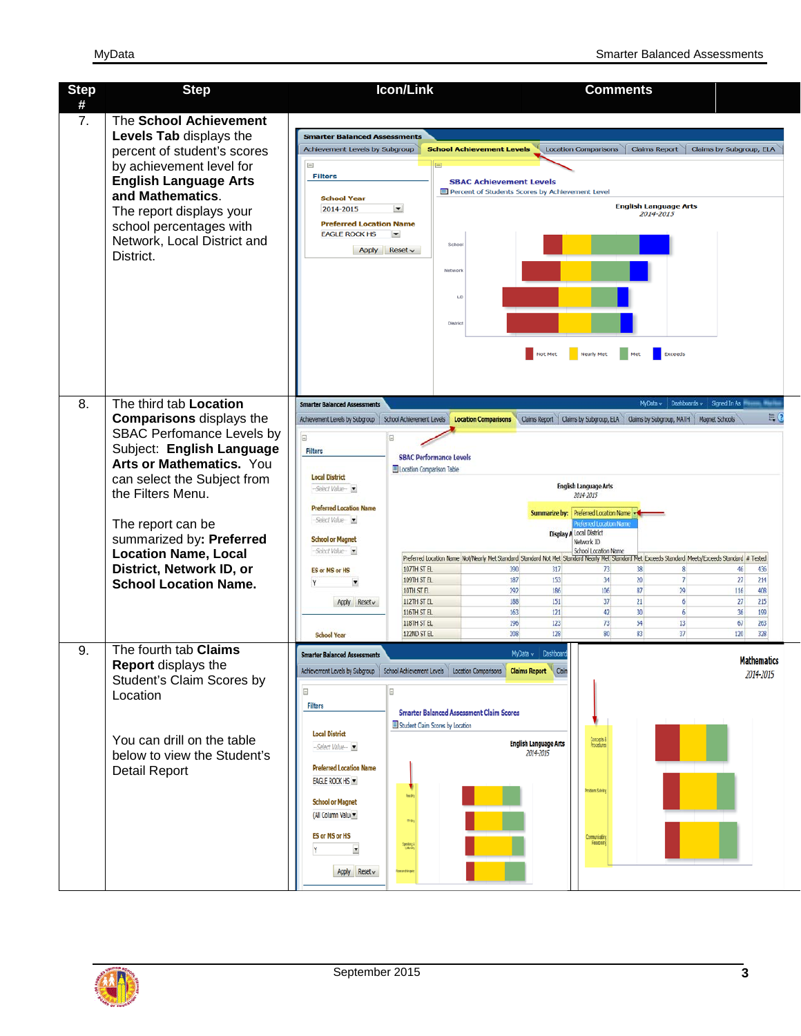| <b>Step</b> | <b>Step</b>                                                                                                                                                                                                                                                                                                                                     | Icon/Link                                                                                                                                                                                                                                                                                                                                                                                                                                                                                                            | <b>Comments</b>                                                                                                                                                                                                                                                                                                                                                                                                                                                                                                                                                                                                                                                                                                                                                                                                                                                                                                                                                                                  |
|-------------|-------------------------------------------------------------------------------------------------------------------------------------------------------------------------------------------------------------------------------------------------------------------------------------------------------------------------------------------------|----------------------------------------------------------------------------------------------------------------------------------------------------------------------------------------------------------------------------------------------------------------------------------------------------------------------------------------------------------------------------------------------------------------------------------------------------------------------------------------------------------------------|--------------------------------------------------------------------------------------------------------------------------------------------------------------------------------------------------------------------------------------------------------------------------------------------------------------------------------------------------------------------------------------------------------------------------------------------------------------------------------------------------------------------------------------------------------------------------------------------------------------------------------------------------------------------------------------------------------------------------------------------------------------------------------------------------------------------------------------------------------------------------------------------------------------------------------------------------------------------------------------------------|
| #           |                                                                                                                                                                                                                                                                                                                                                 |                                                                                                                                                                                                                                                                                                                                                                                                                                                                                                                      |                                                                                                                                                                                                                                                                                                                                                                                                                                                                                                                                                                                                                                                                                                                                                                                                                                                                                                                                                                                                  |
| 7.          | The School Achievement<br>Levels Tab displays the<br>percent of student's scores<br>by achievement level for<br><b>English Language Arts</b><br>and Mathematics.<br>The report displays your<br>school percentages with<br>Network, Local District and<br>District.                                                                             | <b>Smarter Balanced Assessments</b><br>Achievement Levels by Subgroup<br><b>School Achievement Levels</b><br><b>Filters</b><br><b>School Year</b><br>2014-2015<br>$\overline{ }$<br><b>Preferred Location Name</b><br><b>EAGLE ROCK HS</b><br>E<br>Schoo<br>Apply<br>$Reset \sim$<br>Network<br>LD<br>District                                                                                                                                                                                                       | Claims Report<br>Claims by Subgroup, ELA<br>Location Comparisons<br><b>SBAC Achievement Levels</b><br>Percent of Students Scores by Achievement Level<br><b>English Language Arts</b><br>2014-2015<br>Exceeds<br><b>Nearly Met</b><br>Not Met                                                                                                                                                                                                                                                                                                                                                                                                                                                                                                                                                                                                                                                                                                                                                    |
| 8.          | The third tab Location<br><b>Comparisons</b> displays the<br>SBAC Perfomance Levels by<br>Subject: English Language<br>Arts or Mathematics. You<br>can select the Subject from<br>the Filters Menu.<br>The report can be<br>summarized by: Preferred<br><b>Location Name, Local</b><br>District, Network ID, or<br><b>School Location Name.</b> | <b>Smarter Balanced Assessments</b><br>E<br>E<br><b>Filters</b><br><b>SBAC Performance Levels</b><br><b>El Location Comparison Table</b><br><b>Local District</b><br>-Select Value-<br><b>Preferred Location Name</b><br>Select Value-<br><b>School or Magnet</b><br>-Select Value-<br>107TH ST EL<br><b>ES or MS or HS</b><br>109TH ST EL<br>Ξ<br>10TH ST EL<br>112TH ST EL<br>Apply Reset v<br>116TH ST EL<br>118TH ST EL<br>122ND ST EL<br><b>School Year</b>                                                     | MyData v Dashboards v Signed In As<br>$E_{\bullet}$ (2)<br>Achievement Levels by Subgroup   School Achievement Levels   Location Comparisons   Claims Report   Claims by Subgroup, ELA   Claims by Subgroup, MATH   Magnet Schools<br><b>English Language Arts</b><br>2014-2015<br>Summarize by: Preferred Location Name<br><b>heferred Location Name</b><br><b>Display A Local District</b><br>Network ID<br>School Location Name<br>Preferred Location Name Not/Nearly Met Standard Standard Not Met Standard Nearly Met Standard Met Exceeds Standard Meets/Exceeds Standard # Tested<br>390<br>317<br>38<br>73<br>8<br>46<br>436<br>187<br>34<br>$\overline{7}$<br>153<br>20 <sup>1</sup><br>27 <sub>2</sub><br>214<br>186<br>29<br>292<br>106<br>87<br>116<br>408<br>21<br>188<br>151<br>37<br>6 <sup>1</sup><br>215<br>27<br>163<br>121<br>42<br>30 <sup>°</sup><br>6 <sup>1</sup><br>36<br>199<br>196<br>123<br>73<br>54<br>13<br>67<br>263<br>128<br>80<br>83<br>37<br>208<br>120<br>328 |
| 9.          | The fourth tab Claims<br>Report displays the<br>Student's Claim Scores by<br>Location<br>You can drill on the table<br>below to view the Student's<br><b>Detail Report</b>                                                                                                                                                                      | <b>Smarter Balanced Assessments</b><br>Achievement Levels by Subgroup School Achievement Levels   Location Comparisons   Claims Report   Claim<br><b>Filters</b><br><b>Smarter Balanced Assessment Claim Scores</b><br>Student Claim Scores by Location<br><b>Local District</b><br>--Select Value-<br><b>Preferred Location Name</b><br>EAGLE ROCK HS<br>Redry<br><b>School or Magnet</b><br>(All Column Value<br>may<br>ES or MS or HS<br>a prilago)<br>  prieksi<br>▼<br>Apply $Reset$<br><b>Research Inquiry</b> | MyData v   Dashboard<br><b>Mathematics</b><br>2014-2015<br>Concepts &<br>Procedures<br>English Language Arts<br>2014-2015<br>Problem Solving<br>Communicating<br>Fiesacraing                                                                                                                                                                                                                                                                                                                                                                                                                                                                                                                                                                                                                                                                                                                                                                                                                     |